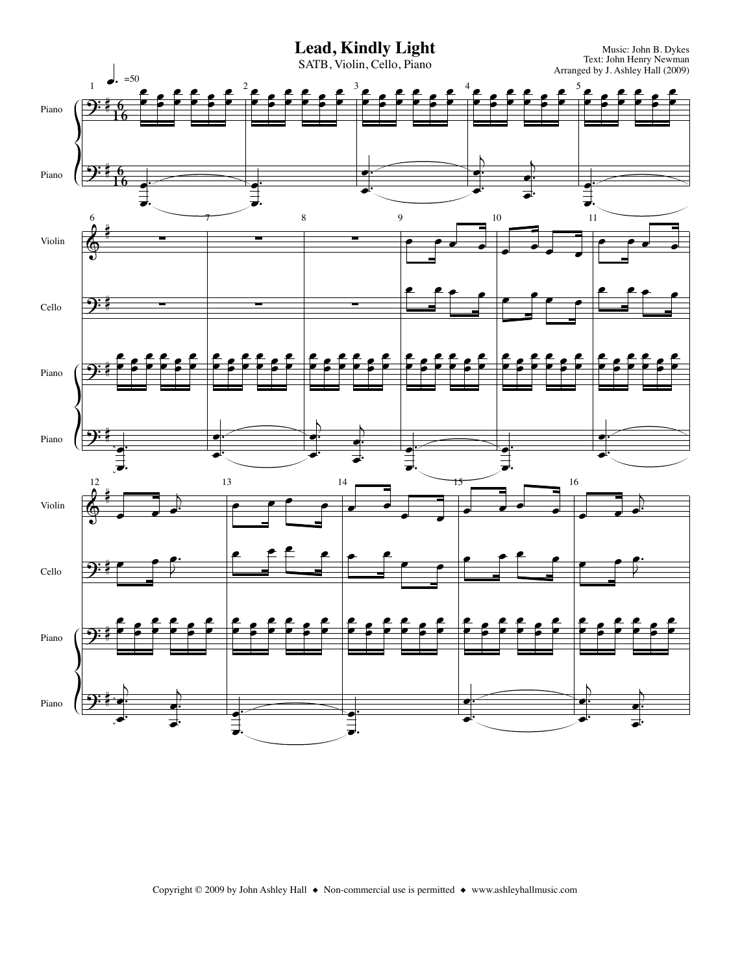

Copyright © 2009 by John Ashley Hall ◆ Non-commercial use is permitted ◆ www.ashleyhallmusic.com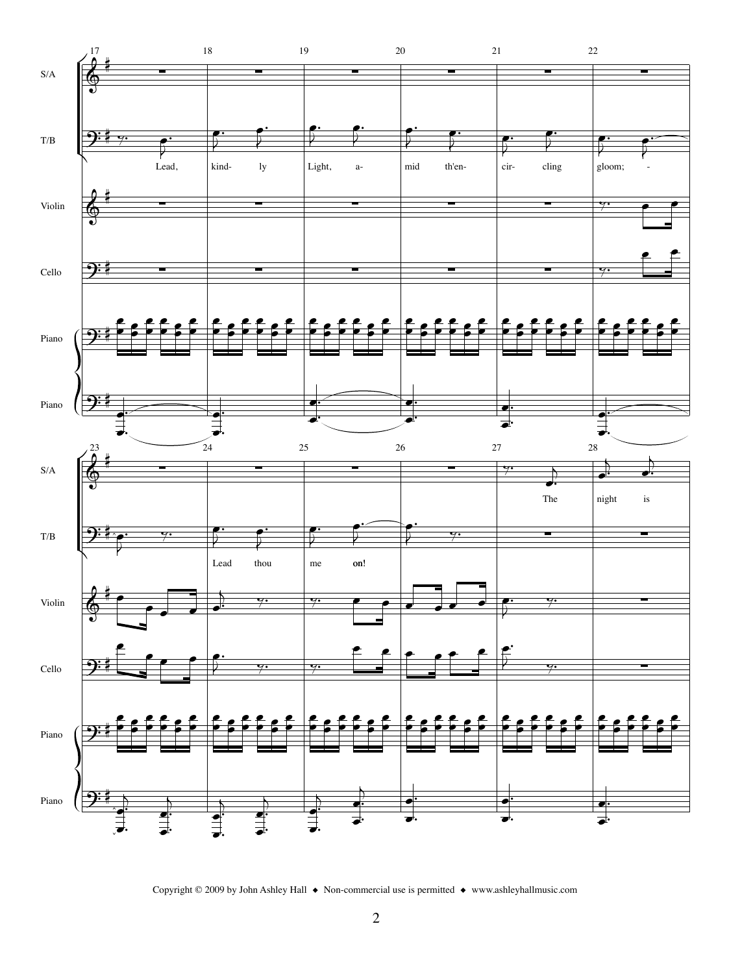

Copyright © 2009 by John Ashley Hall ♦ Non-commercial use is permitted ♦ www.ashleyhallmusic.com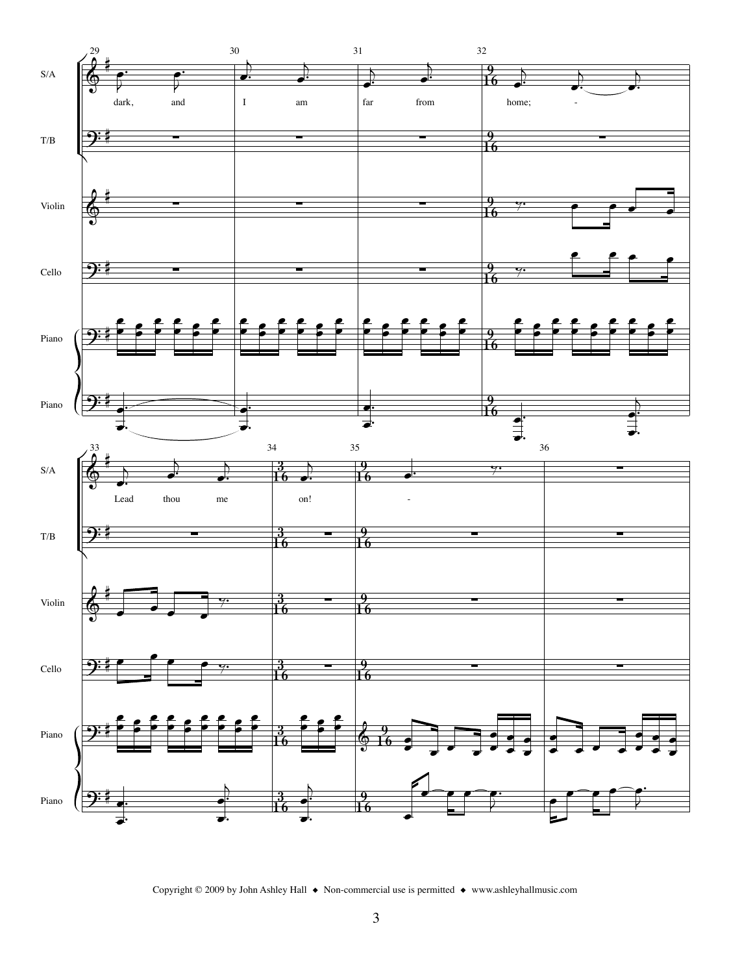

Copyright © 2009 by John Ashley Hall ♦ Non-commercial use is permitted ♦ www.ashleyhallmusic.com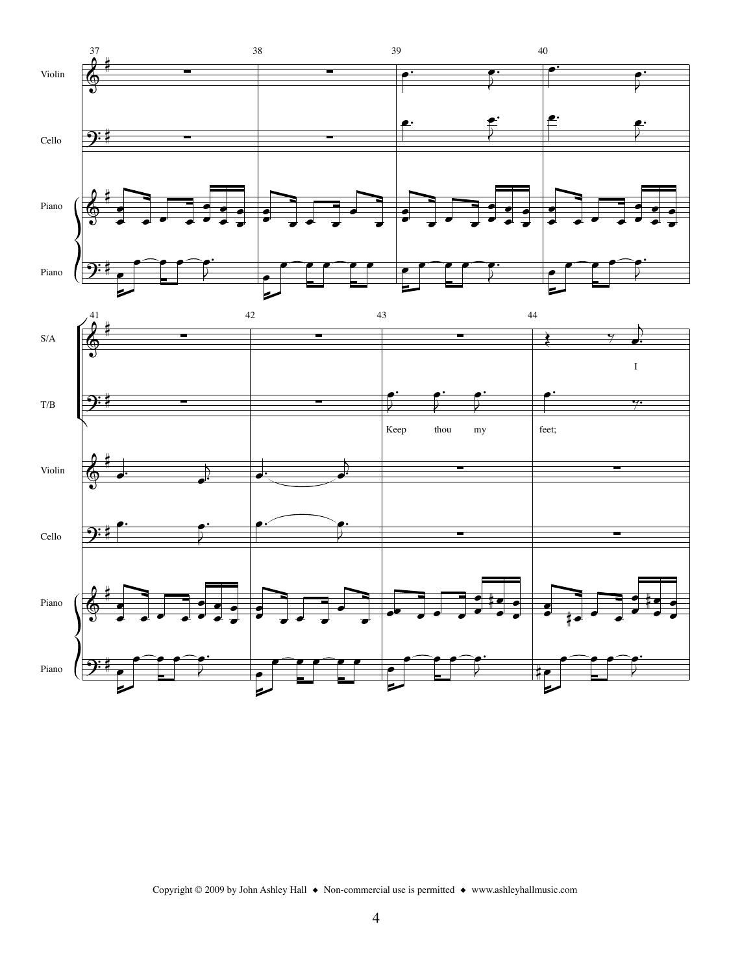

Copyright © 2009 by John Ashley Hall  $\bullet$  Non-commercial use is permitted  $\bullet$  www.ashleyhallmusic.com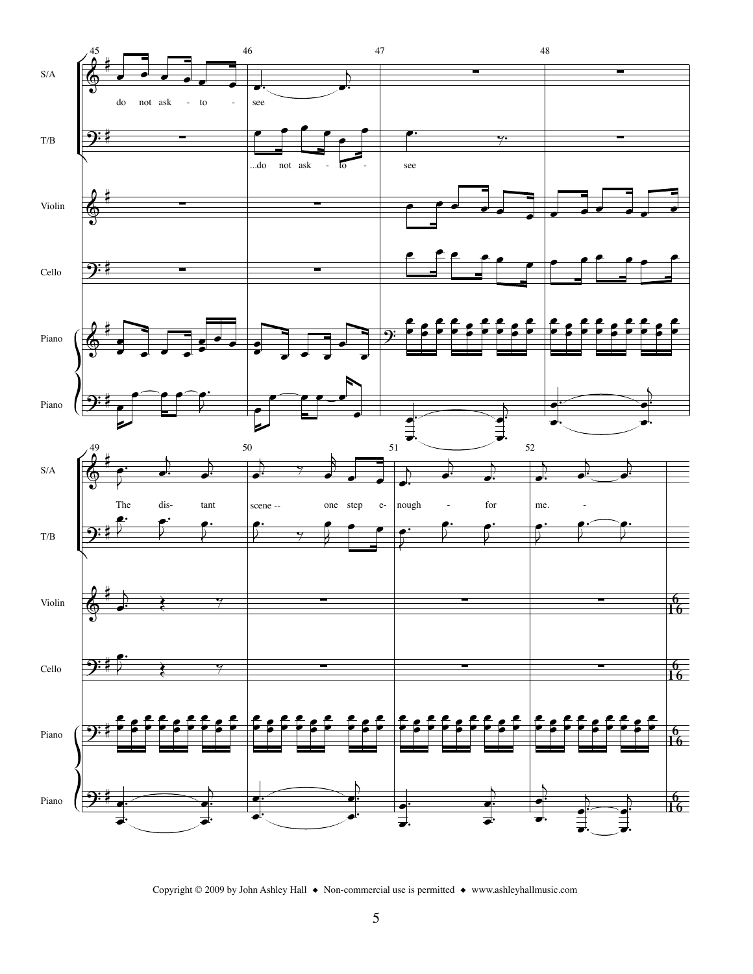

Copyright © 2009 by John Ashley Hall ♦ Non-commercial use is permitted ♦ www.ashleyhallmusic.com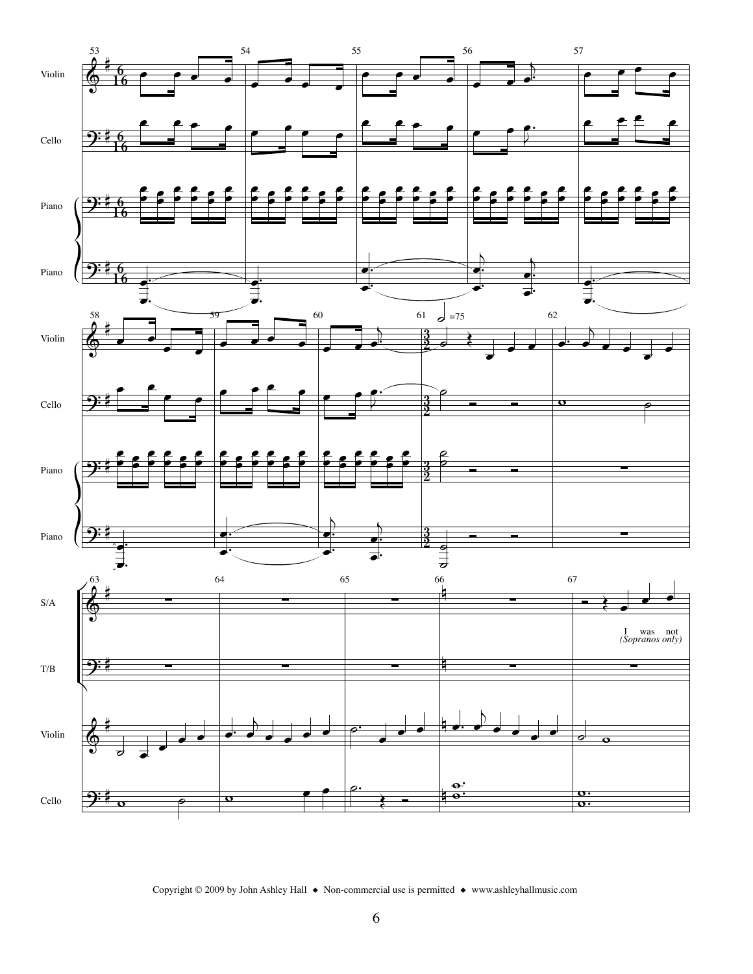

Copyright © 2009 by John Ashley Hall ◆ Non-commercial use is permitted ◆ www.ashleyhallmusic.com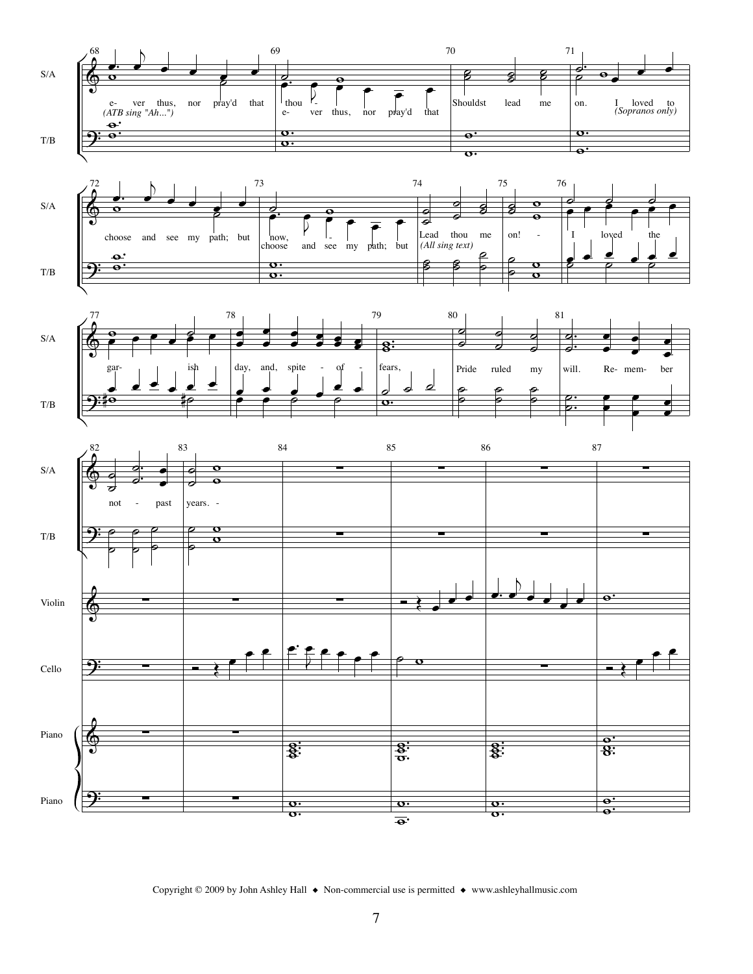

Copyright © 2009 by John Ashley Hall ♦ Non-commercial use is permitted ♦ www.ashleyhallmusic.com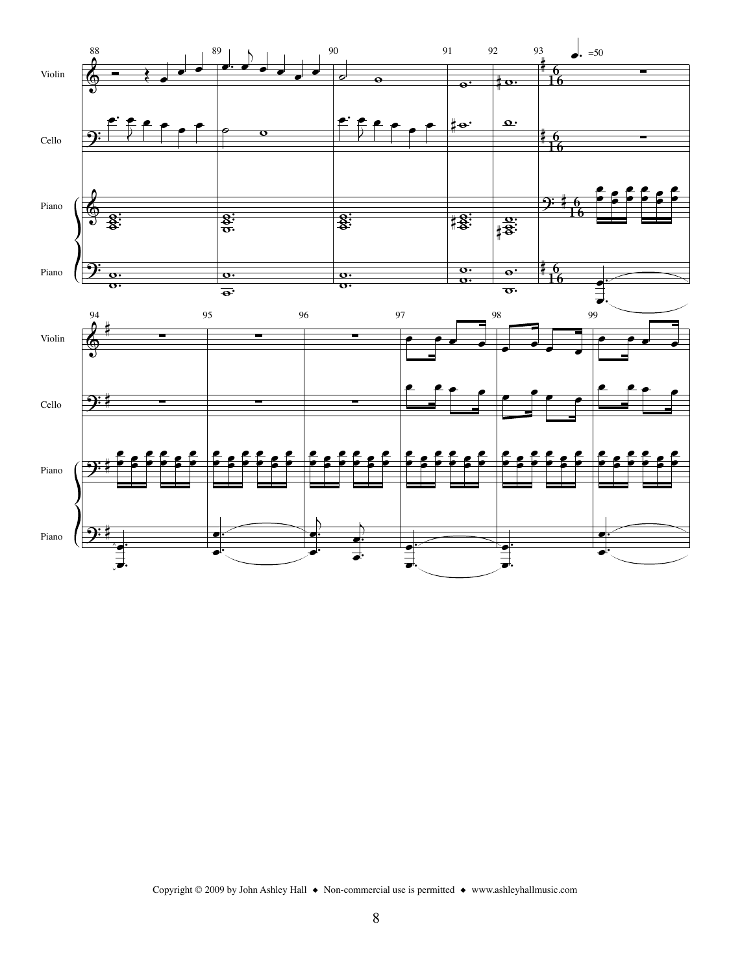

Copyright © 2009 by John Ashley Hall ◆ Non-commercial use is permitted ◆ www.ashleyhallmusic.com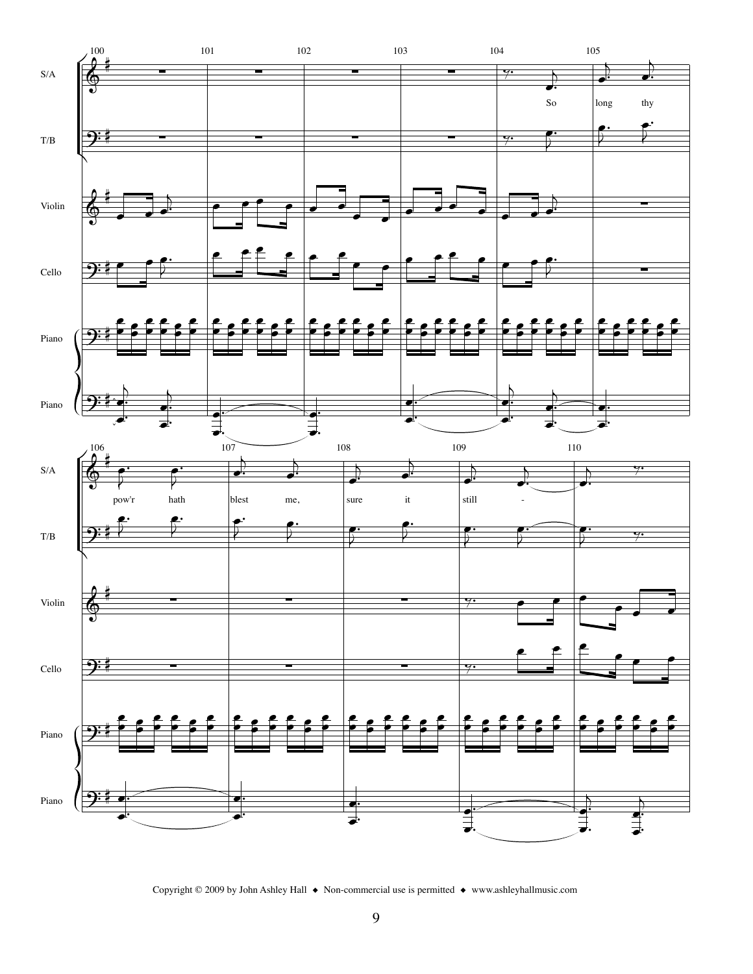

Copyright © 2009 by John Ashley Hall ♦ Non-commercial use is permitted ♦ www.ashleyhallmusic.com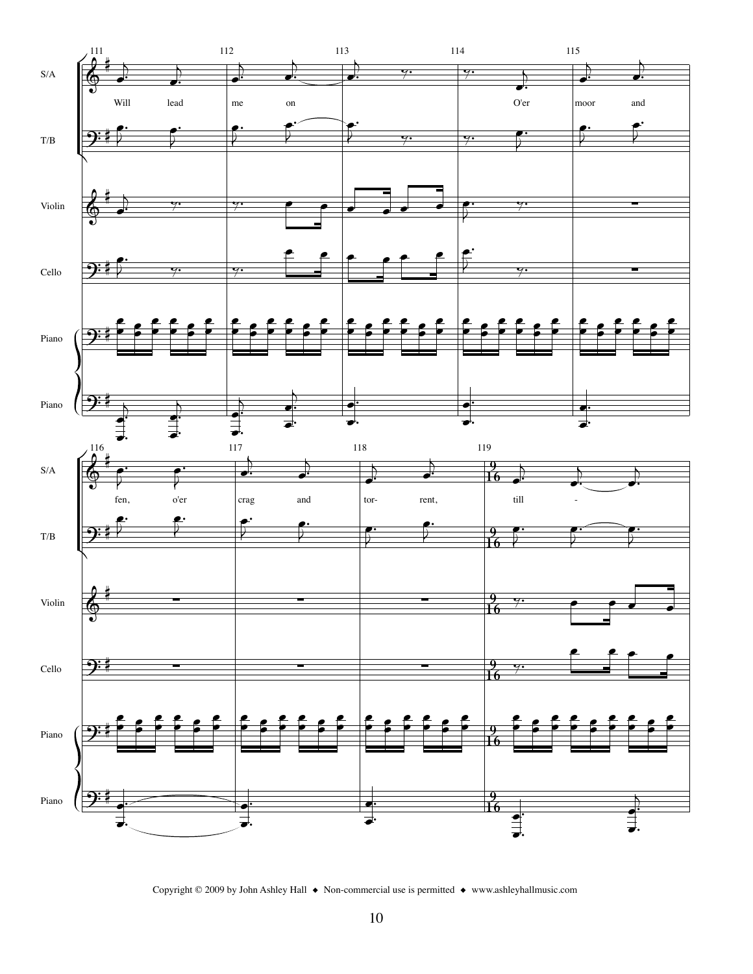

Copyright © 2009 by John Ashley Hall ♦ Non-commercial use is permitted ♦ www.ashleyhallmusic.com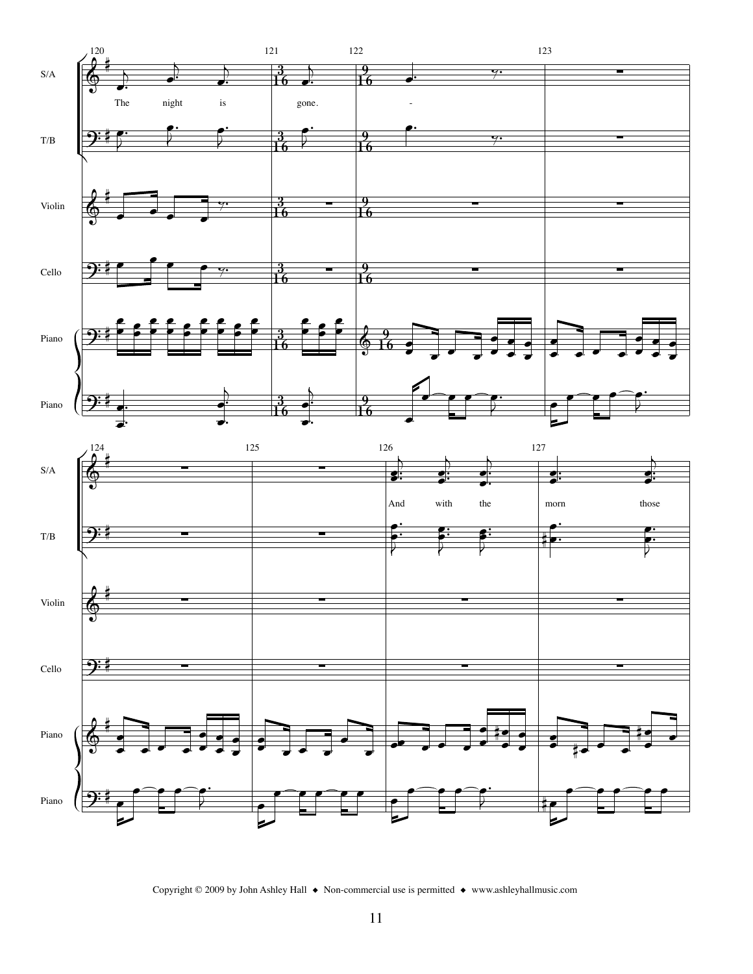

Copyright © 2009 by John Ashley Hall  $\bullet$  Non-commercial use is permitted  $\bullet$  www.ashleyhallmusic.com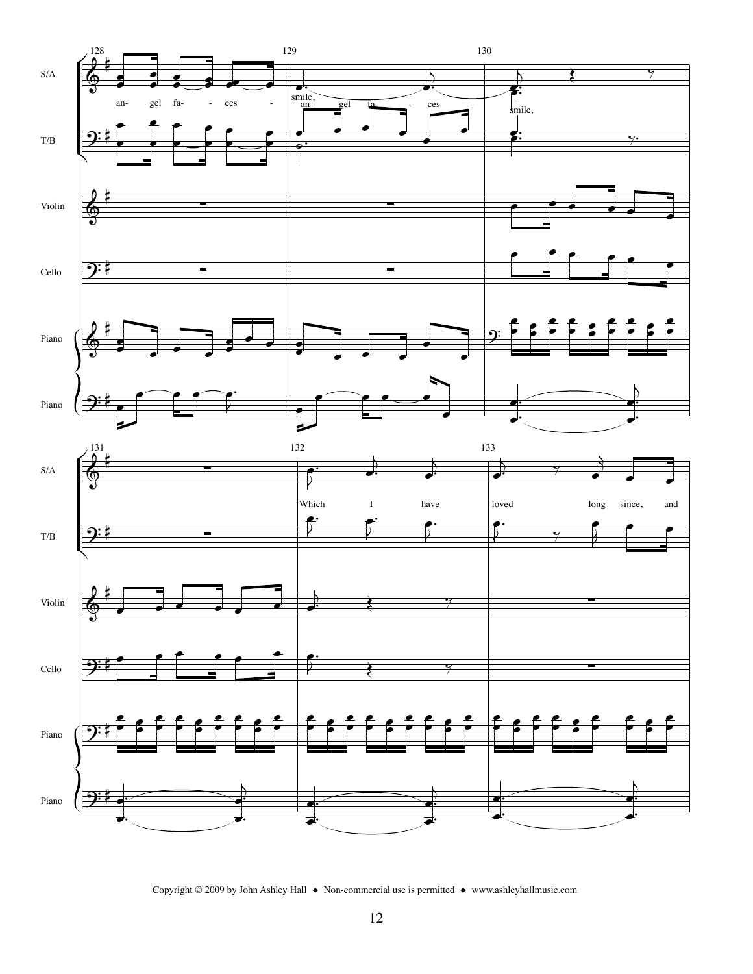

Copyright © 2009 by John Ashley Hall  $\;\blacklozenge\;$  Non-commercial use is permitted  $\;\blacklozenge\;$  www.ashleyhallmusic.com